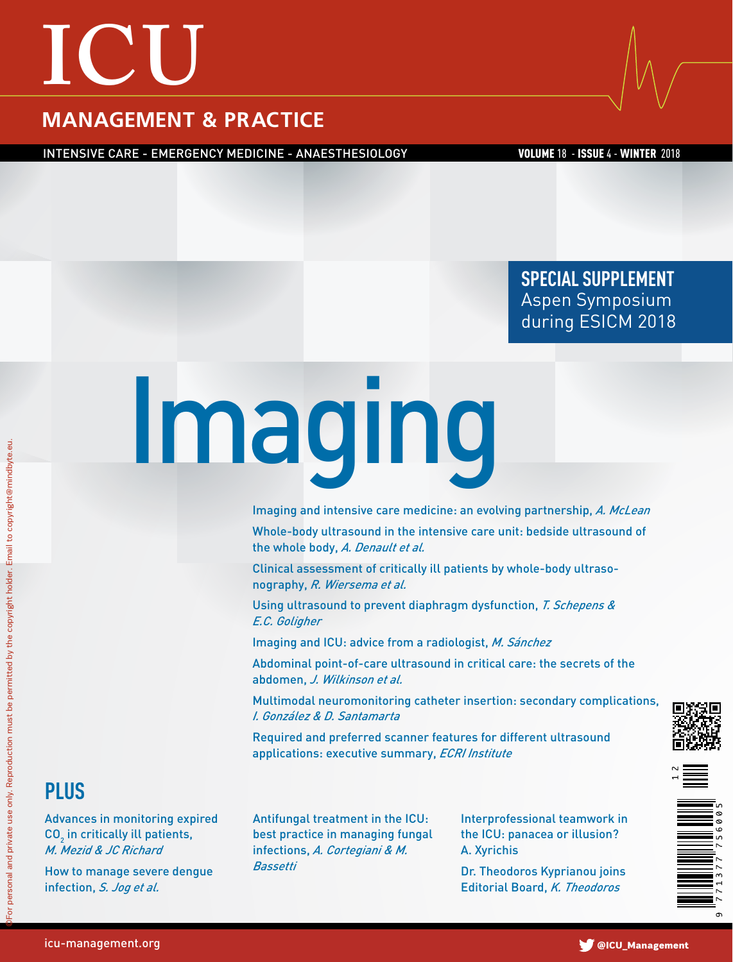## **ICU**

### **MANAGEMENT & PRACTICE**

INTENSIVE CARE - EMERGENCY MEDICINE - ANAESTHESIOLOGY VOLUME 18 - ISSUE 4 - WINTER 2018

**SPECIAL SUPPLEMENT**  Aspen Symposium during ESICM 2018

# Imaging

Imaging and intensive care medicine: an evolving partnership, *A. McLean*

Whole-body ultrasound in the intensive care unit: bedside ultrasound of the whole body, *A. Denault et al.* 

Clinical assessment of critically ill patients by whole-body ultrasonography, *R. Wiersema et al.*

Using ultrasound to prevent diaphragm dysfunction, *T. Schepens & E.C. Goligher*

Imaging and ICU: advice from a radiologist, *M. Sánchez*

Abdominal point-of-care ultrasound in critical care: the secrets of the abdomen, *J. Wilkinson et al.*

Multimodal neuromonitoring catheter insertion: secondary complications, *I. González & D. Santamarta*

Required and preferred scanner features for different ultrasound applications: executive summary, *ECRI Institute*





## **PLUS**

Advances in monitoring expired  $CO<sub>2</sub>$  in critically ill patients, *M. Mezid & JC Richard*

How to manage severe dengue infection, *S. Jog et al.*

Antifungal treatment in the ICU: best practice in managing fungal infections, *A. Cortegiani & M. Bassetti*

Interprofessional teamwork in the ICU: panacea or illusion? A. Xyrichis

Dr. Theodoros Kyprianou joins Editorial Board, *K. Theodoros*

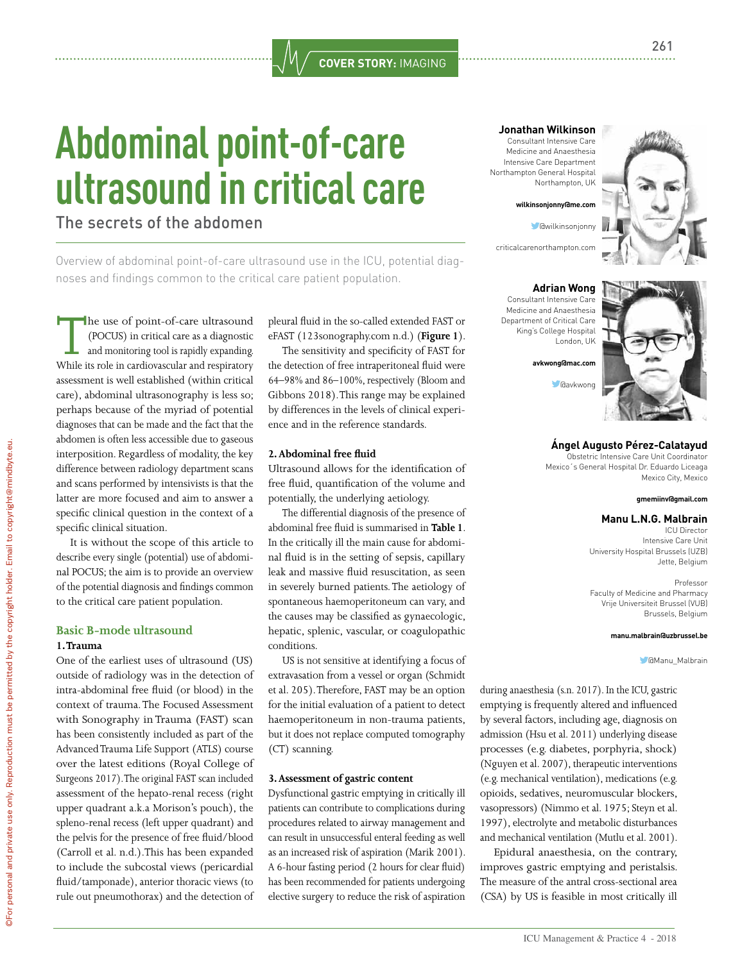#### **COVER STORY:** IMAGING

## **Abdominal point-of-care ultrasound in critical care**

#### The secrets of the abdomen

Overview of abdominal point-of-care ultrasound use in the ICU, potential diagnoses and findings common to the critical care patient population.

The use of point-of-care ultrasound (POCUS) in critical care as a diagnostic and monitoring tool is rapidly expanding. While its role in cardiovascular and respiratory assessment is well established (within critical care), abdominal ultrasonography is less so; perhaps because of the myriad of potential diagnoses that can be made and the fact that the abdomen is often less accessible due to gaseous interposition. Regardless of modality, the key difference between radiology department scans and scans performed by intensivists is that the latter are more focused and aim to answer a specific clinical question in the context of a specific clinical situation.

It is without the scope of this article to describe every single (potential) use of abdominal POCUS; the aim is to provide an overview of the potential diagnosis and findings common to the critical care patient population.

#### **Basic B-mode ultrasound 1. Trauma**

One of the earliest uses of ultrasound (US) outside of radiology was in the detection of intra-abdominal free fluid (or blood) in the context of trauma. The Focused Assessment with Sonography in Trauma (FAST) scan has been consistently included as part of the Advanced Trauma Life Support (ATLS) course over the latest editions (Royal College of Surgeons 2017). The original FAST scan included assessment of the hepato-renal recess (right upper quadrant a.k.a Morison's pouch), the spleno-renal recess (left upper quadrant) and the pelvis for the presence of free fluid/blood (Carroll et al. n.d.).This has been expanded to include the subcostal views (pericardial fluid/tamponade), anterior thoracic views (to rule out pneumothorax) and the detection of

pleural fluid in the so-called extended FAST or eFAST (123sonography.com n.d.) (**Figure 1**).

The sensitivity and specificity of FAST for the detection of free intraperitoneal fluid were 64–98% and 86–100%, respectively (Bloom and Gibbons 2018). This range may be explained by differences in the levels of clinical experience and in the reference standards.

#### **2. Abdominal free fluid**

Ultrasound allows for the identification of free fluid, quantification of the volume and potentially, the underlying aetiology.

The differential diagnosis of the presence of abdominal free fluid is summarised in **Table 1**. In the critically ill the main cause for abdominal fluid is in the setting of sepsis, capillary leak and massive fluid resuscitation, as seen in severely burned patients. The aetiology of spontaneous haemoperitoneum can vary, and the causes may be classified as gynaecologic, hepatic, splenic, vascular, or coagulopathic conditions.

US is not sensitive at identifying a focus of extravasation from a vessel or organ (Schmidt et al. 205). Therefore, FAST may be an option for the initial evaluation of a patient to detect haemoperitoneum in non-trauma patients, but it does not replace computed tomography (CT) scanning.

#### **3. Assessment of gastric content**

Dysfunctional gastric emptying in critically ill patients can contribute to complications during procedures related to airway management and can result in unsuccessful enteral feeding as well as an increased risk of aspiration (Marik 2001). A 6-hour fasting period (2 hours for clear fluid) has been recommended for patients undergoing elective surgery to reduce the risk of aspiration **Jonathan Wilkinson** Consultant Intensive Care Medicine and Anaesthesia Intensive Care Department

Northampton General Hospital Northampton, UK

> **wilkinsonjonny@me.com**  @wilkinsonjonny

criticalcarenorthampton.com



**Adrian Wong** Consultant Intensive Care Medicine and Anaesthesia Department of Critical Care King's College Hospital London, UK



#### **Ángel Augusto Pérez-Calatayud**

Obstetric Intensive Care Unit Coordinator Mexico´s General Hospital Dr. Eduardo Liceaga Mexico City, Mexico

#### **gmemiinv@gmail.com**

#### **Manu L.N.G. Malbrain**

ICU Director Intensive Care Unit University Hospital Brussels (UZB) Jette, Belgium

Professor

Faculty of Medicine and Pharmacy Vrije Universiteit Brussel (VUB) Brussels, Belgium

#### **manu.malbrain@uzbrussel.be**

**C**Manu Malbrain

during anaesthesia (s.n. 2017). In the ICU, gastric emptying is frequently altered and influenced by several factors, including age, diagnosis on admission (Hsu et al. 2011) underlying disease processes (e.g. diabetes, porphyria, shock) (Nguyen et al. 2007), therapeutic interventions (e.g. mechanical ventilation), medications (e.g. opioids, sedatives, neuromuscular blockers, vasopressors) (Nimmo et al. 1975; Steyn et al. 1997), electrolyte and metabolic disturbances and mechanical ventilation (Mutlu et al. 2001).

Epidural anaesthesia, on the contrary, improves gastric emptying and peristalsis. The measure of the antral cross-sectional area (CSA) by US is feasible in most critically ill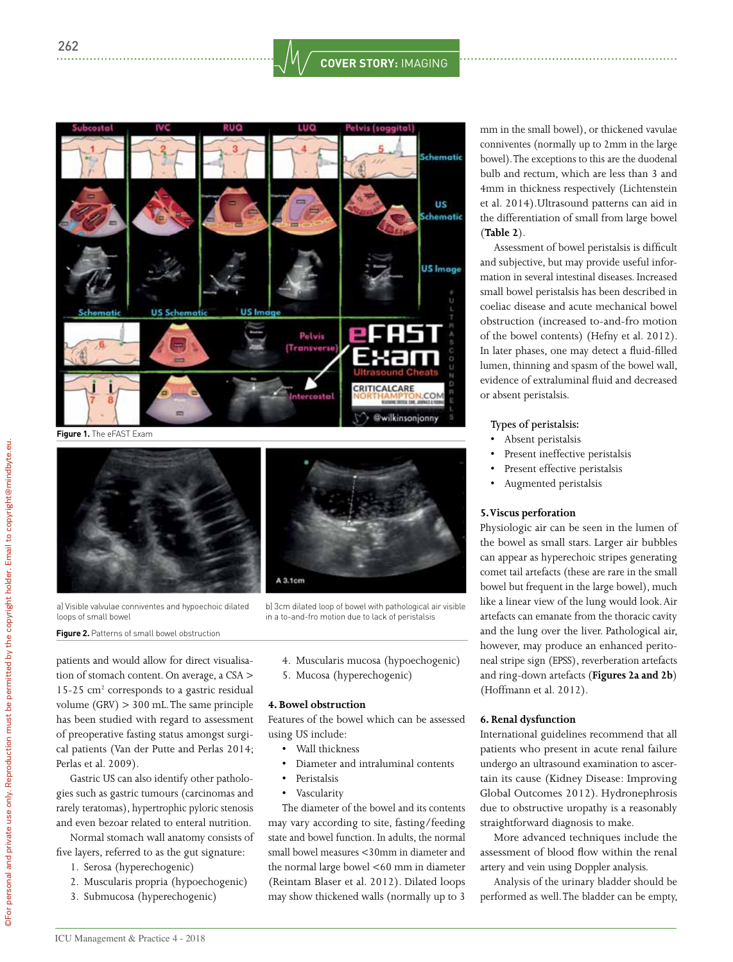#### **COVER STORY:** IMAGING



**Figure 1.** The eFAST Exam





a) Visible valvulae conniventes and hypoechoic dilated loops of small bowel

**Figure 2.** Patterns of small bowel obstruction

patients and would allow for direct visualisation of stomach content. On average, a CSA > 15-25 cm2 corresponds to a gastric residual volume  $(GRV) > 300$  mL. The same principle has been studied with regard to assessment of preoperative fasting status amongst surgical patients (Van der Putte and Perlas 2014; Perlas et al. 2009).

Gastric US can also identify other pathologies such as gastric tumours (carcinomas and rarely teratomas), hypertrophic pyloric stenosis and even bezoar related to enteral nutrition.

Normal stomach wall anatomy consists of five layers, referred to as the gut signature:

- 1. Serosa (hyperechogenic)
- 2. Muscularis propria (hypoechogenic)
- 3. Submucosa (hyperechogenic)
- b) 3cm dilated loop of bowel with pathological air visible in a to-and-fro motion due to lack of peristalsis
	- 4. Muscularis mucosa (hypoechogenic)
	- 5. Mucosa (hyperechogenic)

#### **4. Bowel obstruction**

Features of the bowel which can be assessed using US include:

- Wall thickness
- Diameter and intraluminal contents
- Peristalsis
- • Vascularity

The diameter of the bowel and its contents may vary according to site, fasting/feeding state and bowel function. In adults, the normal small bowel measures <30mm in diameter and the normal large bowel <60 mm in diameter (Reintam Blaser et al. 2012). Dilated loops may show thickened walls (normally up to 3

mm in the small bowel), or thickened vavulae conniventes (normally up to 2mm in the large bowel). The exceptions to this are the duodenal bulb and rectum, which are less than 3 and 4mm in thickness respectively (Lichtenstein et al. 2014).Ultrasound patterns can aid in the differentiation of small from large bowel (**Table 2**).

Assessment of bowel peristalsis is difficult and subjective, but may provide useful information in several intestinal diseases. Increased small bowel peristalsis has been described in coeliac disease and acute mechanical bowel obstruction (increased to-and-fro motion of the bowel contents) (Hefny et al. 2012). In later phases, one may detect a fluid-filled lumen, thinning and spasm of the bowel wall, evidence of extraluminal fluid and decreased or absent peristalsis.

#### **Types of peristalsis:**

- • Absent peristalsis
- Present ineffective peristalsis
- Present effective peristalsis
- Augmented peristalsis

#### **5. Viscus perforation**

Physiologic air can be seen in the lumen of the bowel as small stars. Larger air bubbles can appear as hyperechoic stripes generating comet tail artefacts (these are rare in the small bowel but frequent in the large bowel), much like a linear view of the lung would look. Air artefacts can emanate from the thoracic cavity and the lung over the liver. Pathological air, however, may produce an enhanced peritoneal stripe sign (EPSS), reverberation artefacts and ring-down artefacts (**Figures 2a and 2b**) (Hoffmann et al. 2012).

#### **6. Renal dysfunction**

International guidelines recommend that all patients who present in acute renal failure undergo an ultrasound examination to ascertain its cause (Kidney Disease: Improving Global Outcomes 2012). Hydronephrosis due to obstructive uropathy is a reasonably straightforward diagnosis to make.

More advanced techniques include the assessment of blood flow within the renal artery and vein using Doppler analysis.

Analysis of the urinary bladder should be performed as well. The bladder can be empty,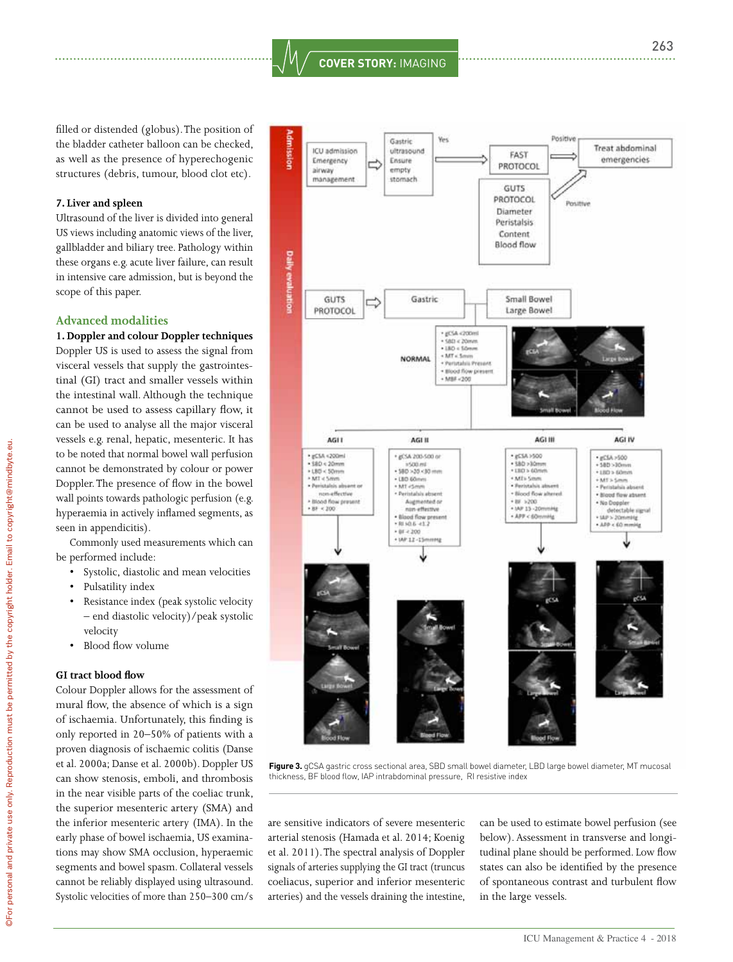**COVER STORY:** IMAGING

filled or distended (globus). The position of the bladder catheter balloon can be checked, as well as the presence of hyperechogenic structures (debris, tumour, blood clot etc).

#### **7. Liver and spleen**

Ultrasound of the liver is divided into general US views including anatomic views of the liver, gallbladder and biliary tree. Pathology within these organs e.g. acute liver failure, can result in intensive care admission, but is beyond the scope of this paper.

#### **Advanced modalities**

**1. Doppler and colour Doppler techniques** Doppler US is used to assess the signal from visceral vessels that supply the gastrointestinal (GI) tract and smaller vessels within the intestinal wall. Although the technique cannot be used to assess capillary flow, it can be used to analyse all the major visceral vessels e.g. renal, hepatic, mesenteric. It has to be noted that normal bowel wall perfusion cannot be demonstrated by colour or power Doppler. The presence of flow in the bowel wall points towards pathologic perfusion (e.g. hyperaemia in actively inflamed segments, as seen in appendicitis).

Commonly used measurements which can be performed include:

- • Systolic, diastolic and mean velocities
- • Pulsatility index
- • Resistance index (peak systolic velocity – end diastolic velocity)/peak systolic velocity
- • Blood flow volume

#### **GI tract blood flow**

Colour Doppler allows for the assessment of mural flow, the absence of which is a sign of ischaemia. Unfortunately, this finding is only reported in 20–50% of patients with a proven diagnosis of ischaemic colitis (Danse et al. 2000a; Danse et al. 2000b). Doppler US can show stenosis, emboli, and thrombosis in the near visible parts of the coeliac trunk, the superior mesenteric artery (SMA) and the inferior mesenteric artery (IMA). In the early phase of bowel ischaemia, US examinations may show SMA occlusion, hyperaemic segments and bowel spasm. Collateral vessels cannot be reliably displayed using ultrasound. Systolic velocities of more than 250–300 cm/s



**Figure 3.** gCSA gastric cross sectional area, SBD small bowel diameter, LBD large bowel diameter, MT mucosal thickness, BF blood flow, IAP intrabdominal pressure, RI resistive index

are sensitive indicators of severe mesenteric arterial stenosis (Hamada et al. 2014; Koenig et al. 2011). The spectral analysis of Doppler signals of arteries supplying the GI tract (truncus coeliacus, superior and inferior mesenteric arteries) and the vessels draining the intestine,

can be used to estimate bowel perfusion (see below). Assessment in transverse and longitudinal plane should be performed. Low flow states can also be identified by the presence of spontaneous contrast and turbulent flow in the large vessels.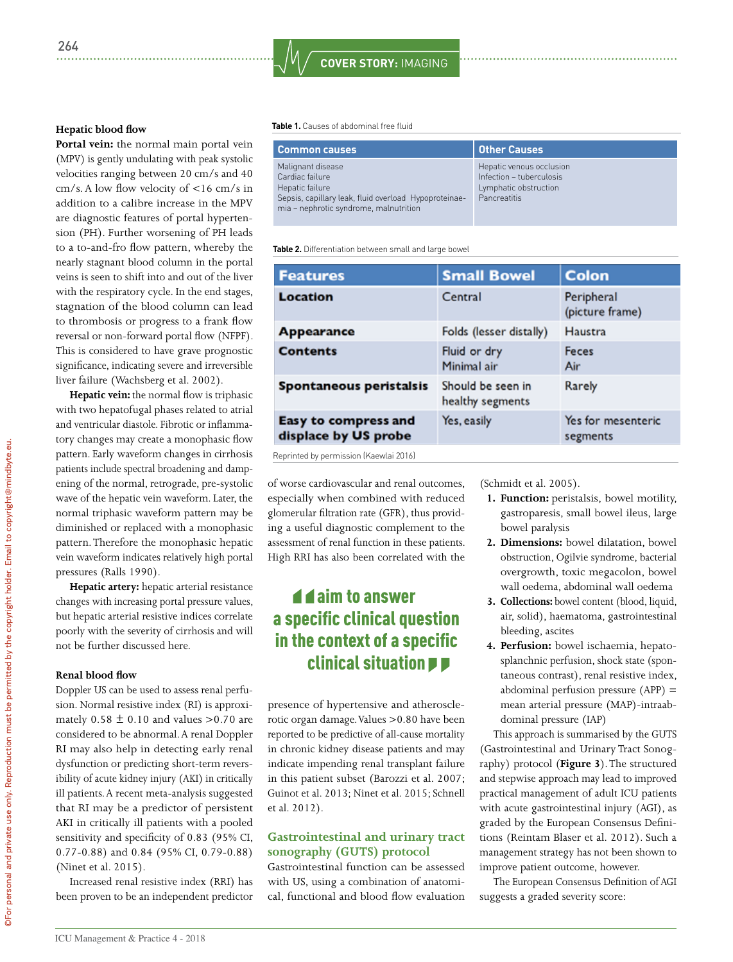#### **Hepatic blood flow**

**Portal vein:** the normal main portal vein (MPV) is gently undulating with peak systolic velocities ranging between 20 cm/s and 40 cm/s. A low flow velocity of <16 cm/s in addition to a calibre increase in the MPV are diagnostic features of portal hypertension (PH). Further worsening of PH leads to a to-and-fro flow pattern, whereby the nearly stagnant blood column in the portal veins is seen to shift into and out of the liver with the respiratory cycle. In the end stages, stagnation of the blood column can lead to thrombosis or progress to a frank flow reversal or non-forward portal flow (NFPF). This is considered to have grave prognostic significance, indicating severe and irreversible liver failure (Wachsberg et al. 2002).

**Hepatic vein:** the normal flow is triphasic with two hepatofugal phases related to atrial and ventricular diastole. Fibrotic or inflammatory changes may create a monophasic flow pattern. Early waveform changes in cirrhosis patients include spectral broadening and dampening of the normal, retrograde, pre-systolic wave of the hepatic vein waveform. Later, the normal triphasic waveform pattern may be diminished or replaced with a monophasic pattern. Therefore the monophasic hepatic vein waveform indicates relatively high portal pressures (Ralls 1990).

**Hepatic artery:** hepatic arterial resistance changes with increasing portal pressure values, but hepatic arterial resistive indices correlate poorly with the severity of cirrhosis and will not be further discussed here.

#### **Renal blood flow**

Doppler US can be used to assess renal perfusion. Normal resistive index (RI) is approximately  $0.58 \pm 0.10$  and values  $> 0.70$  are considered to be abnormal. A renal Doppler RI may also help in detecting early renal dysfunction or predicting short-term reversibility of acute kidney injury (AKI) in critically ill patients. A recent meta-analysis suggested that RI may be a predictor of persistent AKI in critically ill patients with a pooled sensitivity and specificity of 0.83 (95% CI, 0.77-0.88) and 0.84 (95% CI, 0.79-0.88) (Ninet et al. 2015).

Increased renal resistive index (RRI) has been proven to be an independent predictor **Table 1.** Causes of abdominal free fluid

| <b>Common causes</b>                                                                                                                                       | <b>Other Causes</b>                                                                           |
|------------------------------------------------------------------------------------------------------------------------------------------------------------|-----------------------------------------------------------------------------------------------|
| Malignant disease<br>Cardiac failure<br>Hepatic failure<br>Sepsis, capillary leak, fluid overload Hypoproteinae-<br>mia - nephrotic syndrome, malnutrition | Hepatic venous occlusion<br>Infection - tuberculosis<br>Lymphatic obstruction<br>Pancreatitis |

**Table 2.** Differentiation between small and large bowel

| <b>Features</b>                              | <b>Small Bowel</b>                    | <b>Colon</b>                   |
|----------------------------------------------|---------------------------------------|--------------------------------|
| Location                                     | Central                               | Peripheral<br>(picture frame)  |
| Appearance                                   | Folds (lesser distally)               | Haustra                        |
| <b>Contents</b>                              | Fluid or dry<br>Minimal air           | <b>Feces</b><br>Air            |
| <b>Spontaneous peristalsis</b>               | Should be seen in<br>healthy segments | Rarely                         |
| Easy to compress and<br>displace by US probe | Yes, easily                           | Yes for mesenteric<br>segments |

Reprinted by permission (Kaewlai 2016)

of worse cardiovascular and renal outcomes, especially when combined with reduced glomerular filtration rate (GFR), thus providing a useful diagnostic complement to the assessment of renal function in these patients. High RRI has also been correlated with the

#### **d d** aim to answer a specific clinical question in the context of a specific clinical situation

presence of hypertensive and atherosclerotic organ damage. Values >0.80 have been reported to be predictive of all-cause mortality in chronic kidney disease patients and may indicate impending renal transplant failure in this patient subset (Barozzi et al. 2007; Guinot et al. 2013; Ninet et al. 2015; Schnell et al. 2012).

#### **Gastrointestinal and urinary tract sonography (GUTS) protocol**

Gastrointestinal function can be assessed with US, using a combination of anatomical, functional and blood flow evaluation (Schmidt et al. 2005).

- **1. Function:** peristalsis, bowel motility, gastroparesis, small bowel ileus, large bowel paralysis
- **2. Dimensions:** bowel dilatation, bowel obstruction, Ogilvie syndrome, bacterial overgrowth, toxic megacolon, bowel wall oedema, abdominal wall oedema
- **3. Collections:** bowel content (blood, liquid, air, solid), haematoma, gastrointestinal bleeding, ascites
- **4. Perfusion:** bowel ischaemia, hepatosplanchnic perfusion, shock state (spontaneous contrast), renal resistive index, abdominal perfusion pressure (APP) = mean arterial pressure (MAP)-intraabdominal pressure (IAP)

This approach is summarised by the GUTS (Gastrointestinal and Urinary Tract Sonography) protocol (**Figure 3**). The structured and stepwise approach may lead to improved practical management of adult ICU patients with acute gastrointestinal injury (AGI), as graded by the European Consensus Definitions (Reintam Blaser et al. 2012). Such a management strategy has not been shown to improve patient outcome, however.

The European Consensus Definition of AGI suggests a graded severity score: